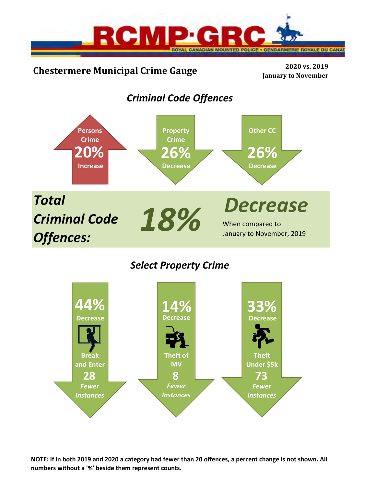

# **Chestermere Municipal Crime Gauge <sup>2020</sup> vs. <sup>2019</sup>**

**January to November**

# *Criminal Code Offences*



## *Select Property Crime*



**NOTE: If in both 2019 and 2020 a category had fewer than 20 offences, a percent change is not shown. All numbers without a '%' beside them represent counts.**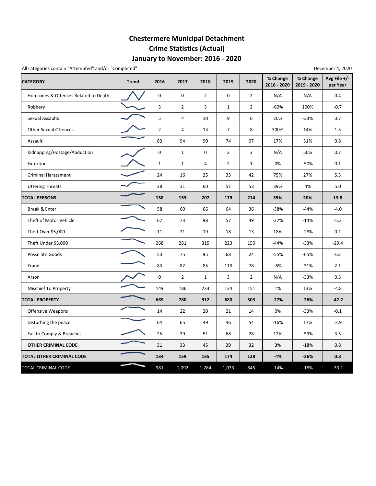## **January to November: 2016 ‐ 2020 Chestermere Municipal Detachment Crime Statistics (Actual)**

All categories contain "Attempted" and/or "Completed"

| December 4, 2020 |  |  |
|------------------|--|--|
|------------------|--|--|

| <b>CATEGORY</b>                       | <b>Trend</b> | 2016           | 2017           | 2018           | 2019           | 2020           | % Change<br>2016 - 2020 | % Change<br>2019 - 2020 | Avg File $+/-$<br>per Year |
|---------------------------------------|--------------|----------------|----------------|----------------|----------------|----------------|-------------------------|-------------------------|----------------------------|
| Homicides & Offences Related to Death |              | 0              | $\Omega$       | $\overline{2}$ | $\Omega$       | $\overline{2}$ | N/A                     | N/A                     | 0.4                        |
| Robbery                               |              | 5              | $\overline{2}$ | 3              | $\mathbf{1}$   | $\overline{2}$ | $-60%$                  | 100%                    | $-0.7$                     |
| <b>Sexual Assaults</b>                |              | 5              | 4              | 10             | 9              | 6              | 20%                     | $-33%$                  | 0.7                        |
| <b>Other Sexual Offences</b>          |              | $\overline{2}$ | 4              | 13             | 7              | 8              | 300%                    | 14%                     | 1.5                        |
| Assault                               |              | 83             | 94             | 90             | 74             | 97             | 17%                     | 31%                     | 0.8                        |
| Kidnapping/Hostage/Abduction          |              | 0              | $\mathbf{1}$   | $\mathbf 0$    | $\overline{2}$ | 3              | N/A                     | 50%                     | 0.7                        |
| Extortion                             |              | $1\,$          | $\mathbf{1}$   | $\overline{4}$ | $\overline{2}$ | $\mathbf{1}$   | 0%                      | -50%                    | 0.1                        |
| <b>Criminal Harassment</b>            |              | 24             | 16             | 25             | 33             | 42             | 75%                     | 27%                     | 5.3                        |
| <b>Uttering Threats</b>               |              | 38             | 31             | 60             | 51             | 53             | 39%                     | 4%                      | 5.0                        |
| <b>TOTAL PERSONS</b>                  |              | 158            | 153            | 207            | 179            | 214            | 35%                     | 20%                     | 13.8                       |
| Break & Enter                         |              | 58             | 60             | 66             | 64             | 36             | $-38%$                  | -44%                    | $-4.0$                     |
| Theft of Motor Vehicle                |              | 67             | 73             | 98             | 57             | 49             | $-27%$                  | $-14%$                  | $-5.2$                     |
| Theft Over \$5,000                    |              | 11             | 21             | 19             | 18             | 13             | 18%                     | $-28%$                  | 0.1                        |
| Theft Under \$5,000                   |              | 268            | 281            | 315            | 223            | 150            | $-44%$                  | $-33%$                  | $-29.4$                    |
| Possn Stn Goods                       |              | 53             | 75             | 95             | 68             | 24             | $-55%$                  | $-65%$                  | $-6.5$                     |
| Fraud                                 |              | 83             | 82             | 85             | 113            | 78             | -6%                     | $-31%$                  | 2.1                        |
| Arson                                 |              | 0              | $\overline{2}$ | $\mathbf{1}$   | 3              | $\overline{2}$ | N/A                     | $-33%$                  | 0.5                        |
| Mischief To Property                  |              | 149            | 186            | 233            | 134            | 151            | 1%                      | 13%                     | $-4.8$                     |
| <b>TOTAL PROPERTY</b>                 |              | 689            | 780            | 912            | 680            | 503            | $-27%$                  | $-26%$                  | $-47.2$                    |
| Offensive Weapons                     |              | 14             | 22             | 20             | 21             | 14             | 0%                      | $-33%$                  | $-0.1$                     |
| Disturbing the peace                  |              | 64             | 65             | 49             | 46             | 54             | $-16%$                  | 17%                     | $-3.9$                     |
| Fail to Comply & Breaches             |              | 25             | 39             | 51             | 68             | 28             | 12%                     | -59%                    | 3.5                        |
| OTHER CRIMINAL CODE                   |              | 31             | 33             | 45             | 39             | 32             | 3%                      | $-18%$                  | 0.8                        |
| <b>TOTAL OTHER CRIMINAL CODE</b>      |              | 134            | 159            | 165            | 174            | 128            | $-4%$                   | $-26%$                  | 0.3                        |
| <b>TOTAL CRIMINAL CODE</b>            |              | 981            | 1,092          | 1,284          | 1,033          | 845            | $-14%$                  | $-18%$                  | $-33.1$                    |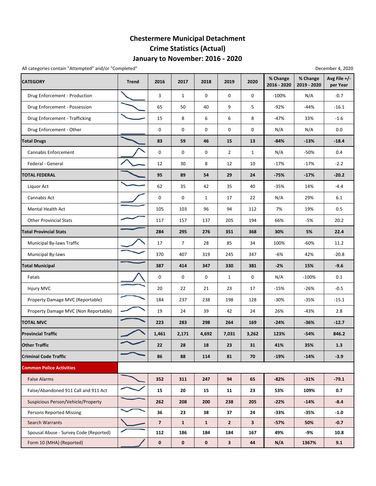### **January to November: 2016 ‐ 2020 Chestermere Municipal Detachment Crime Statistics (Actual)**

All categories contain "Attempted" and/or "Completed" and a strategories contain "Attempted" December 4, 2020

| <b>CATEGORY</b>                        | <b>Trend</b> | 2016                    | 2017         | 2018         | 2019           | 2020         | % Change<br>2016 - 2020 | % Change<br>2019 - 2020 | Avg File +/-<br>per Year |
|----------------------------------------|--------------|-------------------------|--------------|--------------|----------------|--------------|-------------------------|-------------------------|--------------------------|
| Drug Enforcement - Production          |              | 3                       | $\mathbf{1}$ | 0            | $\mathbf 0$    | 0            | $-100%$                 | N/A                     | $-0.7$                   |
| Drug Enforcement - Possession          |              | 65                      | 50           | 40           | 9              | 5            | -92%                    | $-44%$                  | $-16.1$                  |
| Drug Enforcement - Trafficking         |              | 15                      | 8            | 6            | 6              | 8            | -47%                    | 33%                     | $-1.6$                   |
| Drug Enforcement - Other               |              | $\mathbf 0$             | 0            | 0            | 0              | 0            | N/A                     | N/A                     | 0.0                      |
| <b>Total Drugs</b>                     |              | 83                      | 59           | 46           | 15             | 13           | $-84%$                  | $-13%$                  | $-18.4$                  |
| Cannabis Enforcement                   |              | 0                       | 0            | 0            | $\overline{2}$ | $\mathbf{1}$ | N/A                     | -50%                    | 0.4                      |
| Federal - General                      |              | 12                      | 30           | 8            | 12             | 10           | $-17%$                  | $-17%$                  | $-2.2$                   |
| <b>TOTAL FEDERAL</b>                   |              | 95                      | 89           | 54           | 29             | 24           | $-75%$                  | $-17%$                  | $-20.2$                  |
| Liquor Act                             |              | 62                      | 35           | 42           | 35             | 40           | $-35%$                  | 14%                     | $-4.4$                   |
| Cannabis Act                           |              | $\mathbf 0$             | 0            | $\mathbf{1}$ | 17             | 22           | N/A                     | 29%                     | 6.1                      |
| Mental Health Act                      |              | 105                     | 103          | 96           | 94             | 112          | 7%                      | 19%                     | 0.5                      |
| <b>Other Provincial Stats</b>          |              | 117                     | 157          | 137          | 205            | 194          | 66%                     | -5%                     | 20.2                     |
| <b>Total Provincial Stats</b>          |              | 284                     | 295          | 276          | 351            | 368          | 30%                     | 5%                      | 22.4                     |
| Municipal By-laws Traffic              |              | 17                      | 7            | 28           | 85             | 34           | 100%                    | $-60%$                  | 11.2                     |
| Municipal By-laws                      |              | 370                     | 407          | 319          | 245            | 347          | -6%                     | 42%                     | $-20.8$                  |
| <b>Total Municipal</b>                 |              | 387                     | 414          | 347          | 330            | 381          | $-2%$                   | 15%                     | $-9.6$                   |
| Fatals                                 |              | 0                       | 0            | 0            | $\mathbf{1}$   | 0            | N/A                     | $-100%$                 | 0.1                      |
| Injury MVC                             |              | 20                      | 22           | 21           | 23             | 17           | -15%                    | $-26%$                  | $-0.5$                   |
| Property Damage MVC (Reportable)       |              | 184                     | 237          | 238          | 198            | 128          | $-30%$                  | $-35%$                  | $-15.1$                  |
| Property Damage MVC (Non Reportable)   |              | 19                      | 24           | 39           | 42             | 24           | 26%                     | $-43%$                  | 2.8                      |
| <b>TOTAL MVC</b>                       |              | 223                     | 283          | 298          | 264            | 169          | $-24%$                  | $-36%$                  | $-12.7$                  |
| <b>Provincial Traffic</b>              |              | 1,461                   | 2,171        | 4,692        | 7,031          | 3,262        | 123%                    | $-54%$                  | 846.2                    |
| <b>Other Traffic</b>                   |              | 22                      | 28           | 18           | 23             | 31           | 41%                     | 35%                     | 1.3                      |
| <b>Criminal Code Traffic</b>           |              | 86                      | 88           | 114          | 81             | 70           | -19%                    | $-14%$                  | $-3.9$                   |
| <b>Common Police Activities</b>        |              |                         |              |              |                |              |                         |                         |                          |
| <b>False Alarms</b>                    |              | 352                     | 311          | 247          | 94             | 65           | $-82%$                  | $-31%$                  | $-79.1$                  |
| False/Abandoned 911 Call and 911 Act   |              | 15                      | 20           | 15           | 11             | 23           | 53%                     | 109%                    | 0.7                      |
| Suspicious Person/Vehicle/Property     |              | 262                     | 208          | 200          | 238            | 205          | $-22%$                  | $-14%$                  | $-8.4$                   |
| <b>Persons Reported Missing</b>        |              | 36                      | 23           | 38           | 37             | 24           | -33%                    | -35%                    | $-1.0$                   |
| Search Warrants                        |              | $\overline{\mathbf{z}}$ | $\mathbf{1}$ | $\mathbf{1}$ | $\mathbf{2}$   | $\mathbf{3}$ | -57%                    | 50%                     | $-0.7$                   |
| Spousal Abuse - Survey Code (Reported) |              | 112                     | 186          | 184          | 184            | 167          | 49%                     | -9%                     | 10.8                     |
| Form 10 (MHA) (Reported)               |              | $\pmb{0}$               | $\pmb{0}$    | 0            | 3              | 44           | N/A                     | 1367%                   | 9.1                      |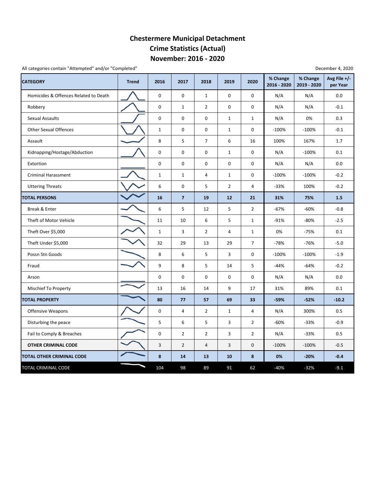#### **November: 2016 ‐ 2020 Chestermere Municipal Detachment Crime Statistics (Actual)**

All categories contain "Attempted" and/or "Completed"

| <b>CATEGORY</b>                       | <b>Trend</b> | 2016         | 2017           | 2018           | 2019           | 2020           | % Change<br>2016 - 2020 | % Change<br>2019 - 2020 | Avg File +/-<br>per Year |
|---------------------------------------|--------------|--------------|----------------|----------------|----------------|----------------|-------------------------|-------------------------|--------------------------|
| Homicides & Offences Related to Death |              | 0            | 0              | $\mathbf{1}$   | $\pmb{0}$      | 0              | N/A                     | N/A                     | 0.0                      |
| Robbery                               |              | 0            | $\mathbf{1}$   | $\overline{2}$ | $\pmb{0}$      | 0              | N/A                     | N/A                     | $-0.1$                   |
| Sexual Assaults                       |              | 0            | 0              | 0              | $\mathbf{1}$   | $\mathbf{1}$   | N/A                     | 0%                      | 0.3                      |
| <b>Other Sexual Offences</b>          |              | $1\,$        | $\mathbf 0$    | 0              | $\mathbf{1}$   | 0              | $-100%$                 | $-100%$                 | $-0.1$                   |
| Assault                               |              | 8            | 5              | $\overline{7}$ | 6              | 16             | 100%                    | 167%                    | 1.7                      |
| Kidnapping/Hostage/Abduction          |              | 0            | 0              | 0              | $\mathbf{1}$   | 0              | N/A                     | $-100%$                 | 0.1                      |
| Extortion                             |              | 0            | $\mathbf 0$    | 0              | 0              | 0              | N/A                     | N/A                     | 0.0                      |
| <b>Criminal Harassment</b>            |              | $\mathbf{1}$ | 1              | $\overline{4}$ | $\mathbf{1}$   | 0              | $-100%$                 | $-100%$                 | $-0.2$                   |
| <b>Uttering Threats</b>               |              | 6            | 0              | 5              | $\overline{2}$ | 4              | $-33%$                  | 100%                    | $-0.2$                   |
| <b>TOTAL PERSONS</b>                  |              | 16           | $\overline{7}$ | 19             | 12             | 21             | 31%                     | 75%                     | 1.5                      |
| Break & Enter                         |              | 6            | 5              | 12             | 5              | $\overline{2}$ | $-67%$                  | $-60%$                  | $-0.8$                   |
| Theft of Motor Vehicle                |              | 11           | 10             | 6              | 5              | $\mathbf{1}$   | $-91%$                  | $-80%$                  | $-2.5$                   |
| Theft Over \$5,000                    |              | $\mathbf{1}$ | 3              | $\overline{2}$ | 4              | $\mathbf{1}$   | 0%                      | $-75%$                  | 0.1                      |
| Theft Under \$5,000                   |              | 32           | 29             | 13             | 29             | $\overline{7}$ | $-78%$                  | $-76%$                  | $-5.0$                   |
| Possn Stn Goods                       |              | 8            | 6              | 5              | 3              | 0              | $-100%$                 | $-100%$                 | $-1.9$                   |
| Fraud                                 |              | 9            | 8              | 5              | $14\,$         | 5              | $-44%$                  | $-64%$                  | $-0.2$                   |
| Arson                                 |              | 0            | 0              | 0              | 0              | 0              | N/A                     | N/A                     | 0.0                      |
| Mischief To Property                  |              | 13           | 16             | 14             | 9              | 17             | 31%                     | 89%                     | 0.1                      |
| <b>TOTAL PROPERTY</b>                 |              | 80           | 77             | 57             | 69             | 33             | $-59%$                  | $-52%$                  | $-10.2$                  |
| <b>Offensive Weapons</b>              |              | 0            | 4              | $\overline{2}$ | $\mathbf{1}$   | 4              | N/A                     | 300%                    | 0.5                      |
| Disturbing the peace                  |              | 5            | 6              | 5              | 3              | $\overline{2}$ | $-60%$                  | $-33%$                  | $-0.9$                   |
| Fail to Comply & Breaches             |              | 0            | $\overline{2}$ | $\overline{2}$ | 3              | $\overline{2}$ | N/A                     | $-33%$                  | 0.5                      |
| <b>OTHER CRIMINAL CODE</b>            |              | 3            | $\overline{2}$ | $\overline{4}$ | 3              | 0              | $-100%$                 | $-100%$                 | $-0.5$                   |
| TOTAL OTHER CRIMINAL CODE             |              | 8            | 14             | 13             | 10             | 8              | 0%                      | $-20%$                  | $-0.4$                   |
| TOTAL CRIMINAL CODE                   |              | 104          | 98             | 89             | 91             | 62             | $-40%$                  | $-32%$                  | $-9.1$                   |

December 4, 2020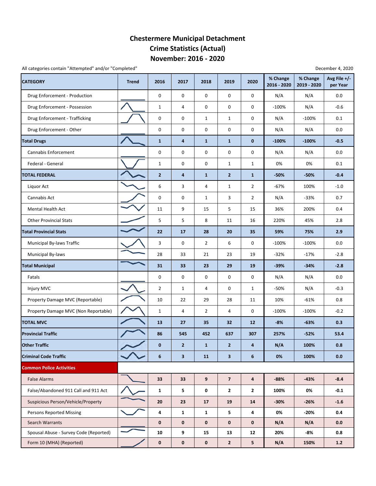#### **November: 2016 ‐ 2020 Chestermere Municipal Detachment Crime Statistics (Actual)**

All categories contain "Attempted" and/or "Completed" December 4, 2020

| <b>CATEGORY</b>                        | <b>Trend</b> | 2016           | 2017           | 2018             | 2019           | 2020           | % Change<br>2016 - 2020 | % Change<br>2019 - 2020 | Avg File +/-<br>per Year |
|----------------------------------------|--------------|----------------|----------------|------------------|----------------|----------------|-------------------------|-------------------------|--------------------------|
| Drug Enforcement - Production          |              | 0              | 0              | 0                | 0              | 0              | N/A                     | N/A                     | 0.0                      |
| Drug Enforcement - Possession          |              | $\mathbf{1}$   | 4              | 0                | 0              | 0              | $-100%$                 | N/A                     | $-0.6$                   |
| Drug Enforcement - Trafficking         |              | 0              | 0              | $\mathbf{1}$     | $\mathbf{1}$   | 0              | N/A                     | $-100%$                 | 0.1                      |
| Drug Enforcement - Other               |              | 0              | 0              | 0                | 0              | 0              | N/A                     | N/A                     | 0.0                      |
| <b>Total Drugs</b>                     |              | $\mathbf{1}$   | 4              | $\mathbf{1}$     | $\mathbf{1}$   | 0              | $-100%$                 | $-100%$                 | $-0.5$                   |
| Cannabis Enforcement                   |              | 0              | 0              | 0                | 0              | 0              | N/A                     | N/A                     | 0.0                      |
| Federal - General                      |              | $\mathbf{1}$   | $\mathbf 0$    | 0                | $\mathbf{1}$   | $\mathbf{1}$   | 0%                      | 0%                      | 0.1                      |
| <b>TOTAL FEDERAL</b>                   |              | $\overline{2}$ | 4              | $\mathbf{1}$     | $\overline{2}$ | $\mathbf{1}$   | $-50%$                  | $-50%$                  | $-0.4$                   |
| Liquor Act                             |              | 6              | 3              | 4                | $\mathbf{1}$   | $\overline{2}$ | $-67%$                  | 100%                    | $-1.0$                   |
| Cannabis Act                           |              | $\pmb{0}$      | 0              | $\mathbf{1}$     | 3              | $\overline{2}$ | N/A                     | $-33%$                  | 0.7                      |
| <b>Mental Health Act</b>               |              | 11             | 9              | 15               | 5              | 15             | 36%                     | 200%                    | 0.4                      |
| <b>Other Provincial Stats</b>          |              | 5              | 5              | 8                | 11             | 16             | 220%                    | 45%                     | 2.8                      |
| <b>Total Provincial Stats</b>          |              | 22             | 17             | 28               | 20             | 35             | 59%                     | 75%                     | 2.9                      |
| Municipal By-laws Traffic              |              | 3              | 0              | $\overline{2}$   | 6              | 0              | $-100%$                 | $-100%$                 | 0.0                      |
| Municipal By-laws                      |              | 28             | 33             | 21               | 23             | 19             | $-32%$                  | $-17%$                  | $-2.8$                   |
| <b>Total Municipal</b>                 |              | 31             | 33             | 23               | 29             | 19             | $-39%$                  | $-34%$                  | $-2.8$                   |
| Fatals                                 |              | 0              | 0              | 0                | 0              | 0              | N/A                     | N/A                     | 0.0                      |
| Injury MVC                             |              | $\overline{2}$ | 1              | 4                | 0              | $\mathbf{1}$   | -50%                    | N/A                     | $-0.3$                   |
| Property Damage MVC (Reportable)       |              | 10             | 22             | 29               | 28             | 11             | 10%                     | $-61%$                  | 0.8                      |
| Property Damage MVC (Non Reportable)   |              | $\mathbf{1}$   | 4              | $\overline{2}$   | 4              | 0              | $-100%$                 | $-100%$                 | $-0.2$                   |
| <b>TOTAL MVC</b>                       |              | 13             | 27             | 35               | 32             | 12             | $-8%$                   | $-63%$                  | 0.3                      |
| <b>Provincial Traffic</b>              |              | 86             | 545            | 452              | 637            | 307            | 257%                    | $-52%$                  | 53.4                     |
| <b>Other Traffic</b>                   |              | $\bf{0}$       | $\overline{2}$ | $\mathbf{1}$     | $\overline{2}$ | 4              | N/A                     | 100%                    | 0.8                      |
| <b>Criminal Code Traffic</b>           |              | 6              | $\mathbf{3}$   | 11               | $\mathbf{3}$   | 6              | 0%                      | 100%                    | 0.0                      |
| <b>Common Police Activities</b>        |              |                |                |                  |                |                |                         |                         |                          |
| <b>False Alarms</b>                    |              | 33             | 33             | $\boldsymbol{9}$ | $\overline{7}$ | 4              | $-88%$                  | $-43%$                  | $-8.4$                   |
| False/Abandoned 911 Call and 911 Act   |              | $\mathbf{1}$   | 5              | 0                | $\mathbf{2}$   | 2              | 100%                    | 0%                      | $-0.1$                   |
| Suspicious Person/Vehicle/Property     |              | 20             | 23             | 17               | 19             | 14             | $-30%$                  | $-26%$                  | $-1.6$                   |
| <b>Persons Reported Missing</b>        |              | 4              | $\mathbf{1}$   | $\mathbf{1}$     | 5              | 4              | 0%                      | $-20%$                  | 0.4                      |
| Search Warrants                        |              | $\mathbf 0$    | $\mathbf 0$    | $\mathbf 0$      | $\mathbf 0$    | 0              | N/A                     | N/A                     | 0.0                      |
| Spousal Abuse - Survey Code (Reported) |              | 10             | 9              | 15               | 13             | 12             | 20%                     | -8%                     | 0.8                      |
| Form 10 (MHA) (Reported)               |              | $\mathbf 0$    | $\mathbf 0$    | $\mathbf 0$      | $\mathbf{2}$   | 5              | N/A                     | 150%                    | $1.2$                    |